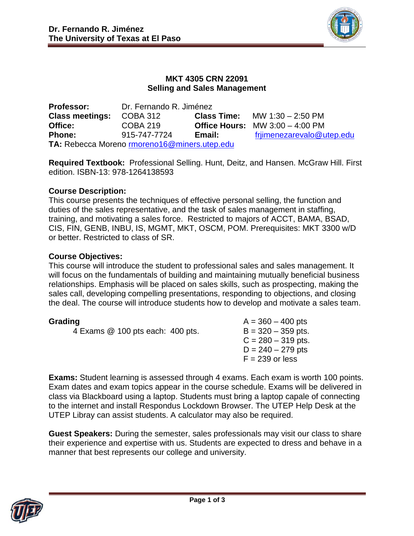

# **MKT 4305 CRN 22091 Selling and Sales Management**

| <b>Professor:</b>                            | Dr. Fernando R. Jiménez |                    |                                          |  |  |
|----------------------------------------------|-------------------------|--------------------|------------------------------------------|--|--|
| <b>Class meetings:</b>                       | <b>COBA 312</b>         | <b>Class Time:</b> | MW 1:30 - 2:50 PM                        |  |  |
| Office:                                      | <b>COBA 219</b>         |                    | <b>Office Hours:</b> MW $3:00 - 4:00$ PM |  |  |
| <b>Phone:</b>                                | 915-747-7724            | Email:             | frjimenezarevalo@utep.edu                |  |  |
| TA: Rebecca Moreno rmoreno16@miners.utep.edu |                         |                    |                                          |  |  |

**Required Textbook:** Professional Selling. Hunt, Deitz, and Hansen. McGraw Hill. First edition. ISBN-13: 978-1264138593

# **Course Description:**

This course presents the techniques of effective personal selling, the function and duties of the sales representative, and the task of sales management in staffing, training, and motivating a sales force. Restricted to majors of ACCT, BAMA, BSAD, CIS, FIN, GENB, INBU, IS, MGMT, MKT, OSCM, POM. Prerequisites: MKT 3300 w/D or better. Restricted to class of SR.

# **Course Objectives:**

This course will introduce the student to professional sales and sales management. It will focus on the fundamentals of building and maintaining mutually beneficial business relationships. Emphasis will be placed on sales skills, such as prospecting, making the sales call, developing compelling presentations, responding to objections, and closing the deal. The course will introduce students how to develop and motivate a sales team.

4 Exams  $@$  100 pts each: 400 pts.  $B = 320 - 359$  pts.

**Grading**  $A = 360 - 400$  pts  $C = 280 - 319$  pts.  $D = 240 - 279$  pts  $F = 239$  or less

**Exams:** Student learning is assessed through 4 exams. Each exam is worth 100 points. Exam dates and exam topics appear in the course schedule. Exams will be delivered in class via Blackboard using a laptop. Students must bring a laptop capale of connecting to the internet and install Respondus Lockdown Browser. The UTEP Help Desk at the UTEP Libray can assist students. A calculator may also be required.

**Guest Speakers:** During the semester, sales professionals may visit our class to share their experience and expertise with us. Students are expected to dress and behave in a manner that best represents our college and university.

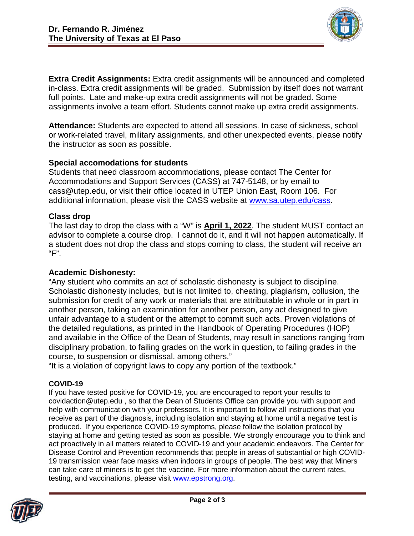

**Extra Credit Assignments:** Extra credit assignments will be announced and completed in-class. Extra credit assignments will be graded. Submission by itself does not warrant full points. Late and make-up extra credit assignments will not be graded. Some assignments involve a team effort. Students cannot make up extra credit assignments.

**Attendance:** Students are expected to attend all sessions. In case of sickness, school or work-related travel, military assignments, and other unexpected events, please notify the instructor as soon as possible.

# **Special accomodations for students**

Students that need classroom accommodations, please contact The Center for Accommodations and Support Services (CASS) at 747-5148, or by email to cass@utep.edu, or visit their office located in UTEP Union East, Room 106. For additional information, please visit the CASS website at [www.sa.utep.edu/cass.](http://www.sa.utep.edu/cass)

### **Class drop**

The last day to drop the class with a "W" is **April 1, 2022**. The student MUST contact an advisor to complete a course drop. I cannot do it, and it will not happen automatically. If a student does not drop the class and stops coming to class, the student will receive an "F".

## **Academic Dishonesty:**

"Any student who commits an act of scholastic dishonesty is subject to discipline. Scholastic dishonesty includes, but is not limited to, cheating, plagiarism, collusion, the submission for credit of any work or materials that are attributable in whole or in part in another person, taking an examination for another person, any act designed to give unfair advantage to a student or the attempt to commit such acts. Proven violations of the detailed regulations, as printed in the Handbook of Operating Procedures (HOP) and available in the Office of the Dean of Students, may result in sanctions ranging from disciplinary probation, to failing grades on the work in question, to failing grades in the course, to suspension or dismissal, among others."

"It is a violation of copyright laws to copy any portion of the textbook."

### **COVID-19**

If you have tested positive for COVID-19, you are encouraged to report your results to covidaction@utep.edu , so that the Dean of Students Office can provide you with support and help with communication with your professors. It is important to follow all instructions that you receive as part of the diagnosis, including isolation and staying at home until a negative test is produced. If you experience COVID-19 symptoms, please follow the isolation protocol by staying at home and getting tested as soon as possible. We strongly encourage you to think and act proactively in all matters related to COVID-19 and your academic endeavors. The Center for Disease Control and Prevention recommends that people in areas of substantial or high COVID-19 transmission wear face masks when indoors in groups of people. The best way that Miners can take care of miners is to get the vaccine. For more information about the current rates, testing, and vaccinations, please visit [www.epstrong.org.](http://www.epstrong.org/)